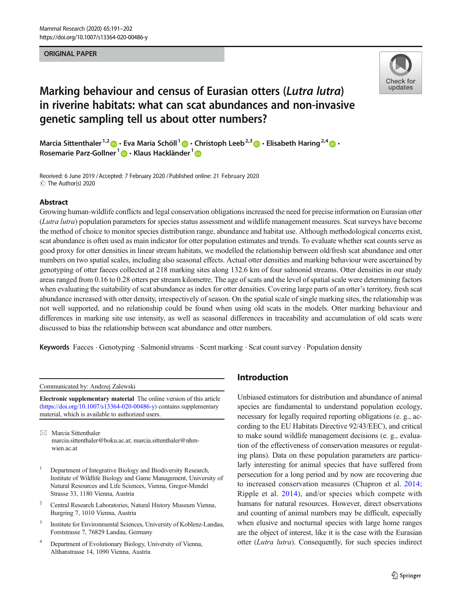#### ORIGINAL PAPER



# Marking behaviour and census of Eurasian otters (Lutra lutra) in riverine habitats: what can scat abundances and non-invasive genetic sampling tell us about otter numbers?

Marcia Sittenthaler<sup>1,2</sup>  $\cdot$  Eva Maria Schöll<sup>1</sup>  $\cdot$  Christoph Leeb<sup>2,3</sup>  $\cdot$  Elisabeth Haring<sup>2,4</sup>  $\cdot$ Rosemarie Parz-Gollner<sup>1</sup> D · Klaus Hackländer<sup>1</sup> D

Received: 6 June 2019 / Accepted: 7 February 2020 /Published online: 21 February 2020 $\circledcirc$  The Author(s) 2020

#### Abstract

Growing human-wildlife conflicts and legal conservation obligations increased the need for precise information on Eurasian otter (Lutra lutra) population parameters for species status assessment and wildlife management measures. Scat surveys have become the method of choice to monitor species distribution range, abundance and habitat use. Although methodological concerns exist, scat abundance is often used as main indicator for otter population estimates and trends. To evaluate whether scat counts serve as good proxy for otter densities in linear stream habitats, we modelled the relationship between old/fresh scat abundance and otter numbers on two spatial scales, including also seasonal effects. Actual otter densities and marking behaviour were ascertained by genotyping of otter faeces collected at 218 marking sites along 132.6 km of four salmonid streams. Otter densities in our study areas ranged from 0.16 to 0.28 otters per stream kilometre. The age of scats and the level of spatial scale were determining factors when evaluating the suitability of scat abundance as index for otter densities. Covering large parts of an otter's territory, fresh scat abundance increased with otter density, irrespectively of season. On the spatial scale of single marking sites, the relationship was not well supported, and no relationship could be found when using old scats in the models. Otter marking behaviour and differences in marking site use intensity, as well as seasonal differences in traceability and accumulation of old scats were discussed to bias the relationship between scat abundance and otter numbers.

Keywords Faeces . Genotyping . Salmonid streams . Scent marking . Scat count survey . Population density

Communicated by: Andrzej Zalewski

Electronic supplementary material The online version of this article ([https://doi.org/10.1007/s13364-020-00486-y\)](https://doi.org/10.1007/s13364-020-00486-y) contains supplementary material, which is available to authorized users.

 $\boxtimes$  Marcia Sittenthaler [marcia.sittenthaler@boku.ac.at;](mailto:marcia.sittenthaler@boku.ac.at) [marcia.sittenthaler@nhm](mailto:marcia.sittenthaler@nhm-wien.ac.at)wien ac at

- <sup>1</sup> Department of Integrative Biology and Biodiversity Research, Institute of Wildlife Biology and Game Management, University of Natural Resources and Life Sciences, Vienna, Gregor-Mendel Strasse 33, 1180 Vienna, Austria
- <sup>2</sup> Central Research Laboratories, Natural History Museum Vienna, Burgring 7, 1010 Vienna, Austria
- <sup>3</sup> Institute for Environmental Sciences, University of Koblenz-Landau, Forststrasse 7, 76829 Landau, Germany
- <sup>4</sup> Department of Evolutionary Biology, University of Vienna, Althanstrasse 14, 1090 Vienna, Austria

# Introduction

Unbiased estimators for distribution and abundance of animal species are fundamental to understand population ecology, necessary for legally required reporting obligations (e. g., according to the EU Habitats Directive 92/43/EEC), and critical to make sound wildlife management decisions (e. g., evaluation of the effectiveness of conservation measures or regulating plans). Data on these population parameters are particularly interesting for animal species that have suffered from persecution for a long period and by now are recovering due to increased conservation measures (Chapron et al. [2014;](#page-10-0) Ripple et al. [2014\)](#page-11-0), and/or species which compete with humans for natural resources. However, direct observations and counting of animal numbers may be difficult, especially when elusive and nocturnal species with large home ranges are the object of interest, like it is the case with the Eurasian otter (Lutra lutra). Consequently, for such species indirect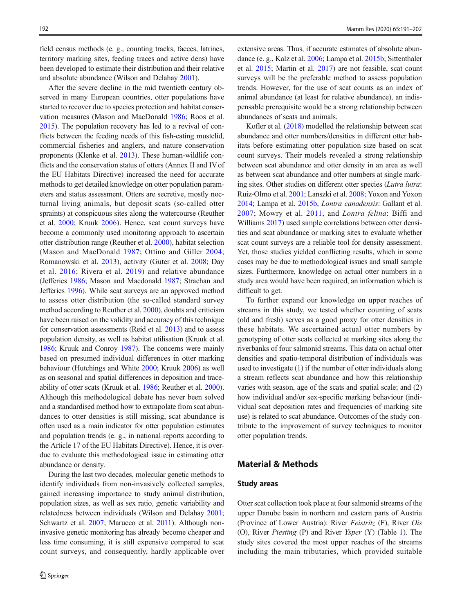field census methods (e. g., counting tracks, faeces, latrines, territory marking sites, feeding traces and active dens) have been developed to estimate their distribution and their relative and absolute abundance (Wilson and Delahay [2001\)](#page-11-0).

After the severe decline in the mid twentieth century observed in many European countries, otter populations have started to recover due to species protection and habitat conservation measures (Mason and MacDonald [1986](#page-11-0); Roos et al. [2015\)](#page-11-0). The population recovery has led to a revival of conflicts between the feeding needs of this fish-eating mustelid, commercial fisheries and anglers, and nature conservation proponents (Klenke et al. [2013\)](#page-10-0). These human-wildlife conflicts and the conservation status of otters (Annex II and IVof the EU Habitats Directive) increased the need for accurate methods to get detailed knowledge on otter population parameters and status assessment. Otters are secretive, mostly nocturnal living animals, but deposit scats (so-called otter spraints) at conspicuous sites along the watercourse (Reuther et al. [2000](#page-11-0); Kruuk [2006\)](#page-10-0). Hence, scat count surveys have become a commonly used monitoring approach to ascertain otter distribution range (Reuther et al. [2000](#page-11-0)), habitat selection (Mason and MacDonald [1987](#page-11-0); Ottino and Giller [2004](#page-11-0); Romanowski et al. [2013\)](#page-11-0), activity (Guter et al. [2008](#page-10-0); Day et al. [2016;](#page-10-0) Rivera et al. [2019](#page-11-0)) and relative abundance (Jefferies [1986;](#page-10-0) Mason and Macdonald [1987](#page-11-0); Strachan and Jefferies [1996](#page-11-0)). While scat surveys are an approved method to assess otter distribution (the so-called standard survey method according to Reuther et al. [2000](#page-11-0)), doubts and criticism have been raised on the validity and accuracy of this technique for conservation assessments (Reid et al. [2013](#page-11-0)) and to assess population density, as well as habitat utilisation (Kruuk et al. [1986;](#page-10-0) Kruuk and Conroy [1987\)](#page-10-0). The concerns were mainly based on presumed individual differences in otter marking behaviour (Hutchings and White [2000](#page-10-0); Kruuk [2006](#page-10-0)) as well as on seasonal and spatial differences in deposition and traceability of otter scats (Kruuk et al. [1986](#page-10-0); Reuther et al. [2000\)](#page-11-0). Although this methodological debate has never been solved and a standardised method how to extrapolate from scat abundances to otter densities is still missing, scat abundance is often used as a main indicator for otter population estimates and population trends (e. g., in national reports according to the Article 17 of the EU Habitats Directive). Hence, it is overdue to evaluate this methodological issue in estimating otter abundance or density.

During the last two decades, molecular genetic methods to identify individuals from non-invasively collected samples, gained increasing importance to study animal distribution, population sizes, as well as sex ratio, genetic variability and relatedness between individuals (Wilson and Delahay [2001](#page-11-0); Schwartz et al. [2007;](#page-11-0) Marucco et al. [2011](#page-11-0)). Although noninvasive genetic monitoring has already become cheaper and less time consuming, it is still expensive compared to scat count surveys, and consequently, hardly applicable over extensive areas. Thus, if accurate estimates of absolute abundance (e. g., Kalz et al. [2006;](#page-10-0) Lampa et al. [2015b](#page-10-0); Sittenthaler et al. [2015;](#page-11-0) Martin et al. [2017](#page-10-0)) are not feasible, scat count surveys will be the preferable method to assess population trends. However, for the use of scat counts as an index of animal abundance (at least for relative abundance), an indispensable prerequisite would be a strong relationship between abundances of scats and animals.

Kofler et al. [\(2018\)](#page-10-0) modelled the relationship between scat abundance and otter numbers/densities in different otter habitats before estimating otter population size based on scat count surveys. Their models revealed a strong relationship between scat abundance and otter density in an area as well as between scat abundance and otter numbers at single marking sites. Other studies on different otter species (Lutra lutra: Ruiz-Olmo et al. [2001;](#page-11-0) Lanszki et al. [2008;](#page-10-0) Yoxon and Yoxon [2014;](#page-11-0) Lampa et al. [2015b,](#page-10-0) Lontra canadensis: Gallant et al. [2007](#page-10-0); Mowry et al. [2011,](#page-11-0) and Lontra felina: Biffi and Williams [2017](#page-10-0)) used simple correlations between otter densities and scat abundance or marking sites to evaluate whether scat count surveys are a reliable tool for density assessment. Yet, those studies yielded conflicting results, which in some cases may be due to methodological issues and small sample sizes. Furthermore, knowledge on actual otter numbers in a study area would have been required, an information which is difficult to get.

To further expand our knowledge on upper reaches of streams in this study, we tested whether counting of scats (old and fresh) serves as a good proxy for otter densities in these habitats. We ascertained actual otter numbers by genotyping of otter scats collected at marking sites along the riverbanks of four salmonid streams. This data on actual otter densities and spatio-temporal distribution of individuals was used to investigate (1) if the number of otter individuals along a stream reflects scat abundance and how this relationship varies with season, age of the scats and spatial scale; and (2) how individual and/or sex-specific marking behaviour (individual scat deposition rates and frequencies of marking site use) is related to scat abundance. Outcomes of the study contribute to the improvement of survey techniques to monitor otter population trends.

### Material & Methods

#### Study areas

Otter scat collection took place at four salmonid streams of the upper Danube basin in northern and eastern parts of Austria (Province of Lower Austria): River Feistritz (F), River Ois (O), River Piesting (P) and River Ysper (Y) (Table [1\)](#page-2-0). The study sites covered the most upper reaches of the streams including the main tributaries, which provided suitable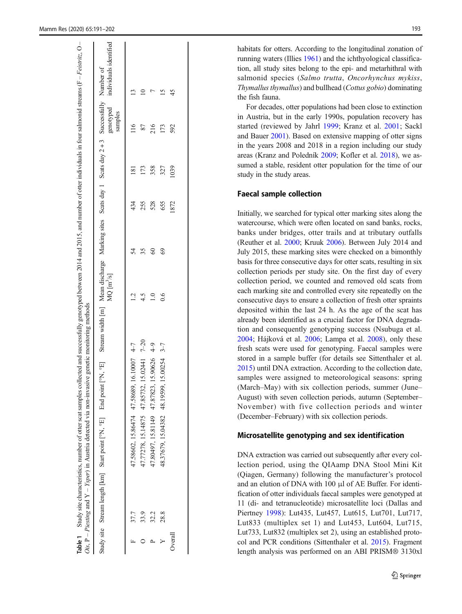Table 1

Study site characteristics, number of otter scat samples collected and successfully genotyped between 2014 and 2015, and number of otter individuals in four salmonid streams (F – Feistritz, O

<span id="page-2-0"></span>

|         |      |                              | <b>Table 1</b> Study site characteristics, number of otter scat samples collected and successfully genotyped between 2014 and 2015, and number of otter individuals in four salmonid streams (F- <i>Feistritz</i> , O-<br>Ois, $P - P$ iesting and $Y - Ysper$ ) in Austria detected via non-invasive genetic monitoring methods |              |       |      |      |                      |                        |
|---------|------|------------------------------|----------------------------------------------------------------------------------------------------------------------------------------------------------------------------------------------------------------------------------------------------------------------------------------------------------------------------------|--------------|-------|------|------|----------------------|------------------------|
|         |      |                              | Study site Stream length [km] Start point [°N, °E] End point [°N, °E] Stream width [m] Mean discharge Marking sites Scats day 1 Scats day 2+3 Successfully Number of                                                                                                                                                             | $MQ [m^3/s]$ |       |      |      | genotyped<br>samples | individuals identified |
|         | 37.7 | 47.58602, 15.86474 47.58689, | 16.10007 4-7                                                                                                                                                                                                                                                                                                                     |              | 54    | 434  |      | $\frac{6}{10}$       |                        |
|         | 33.9 |                              | 17.77278, 15.14875 47.85732, 15.02441 7-20                                                                                                                                                                                                                                                                                       | 4.5          | 35    | 255  |      |                      |                        |
|         | 32.2 |                              | 47.80497, 15.81149 47.87823, 15.90626 4-9                                                                                                                                                                                                                                                                                        |              | $\Im$ | 528  | 358  | 216                  |                        |
|         | 28.8 | 48.37679, 15.04382 48.19599, | $15.00254$ 3-7                                                                                                                                                                                                                                                                                                                   | 0.6          | 69    | 655  | 327  | 173                  |                        |
| Overall |      |                              |                                                                                                                                                                                                                                                                                                                                  |              |       | 1872 | 1039 | 592                  | 45                     |
|         |      |                              |                                                                                                                                                                                                                                                                                                                                  |              |       |      |      |                      |                        |
|         |      |                              |                                                                                                                                                                                                                                                                                                                                  |              |       |      |      |                      |                        |

habitats for otters. According to the longitudinal zonation of running waters (Illies [1961\)](#page-10-0) and the ichthyological classification, all study sites belong to the epi- and metarhithral with salmonid species (Salmo trutta, Oncorhynchus mykiss, Thymallus thymallus) and bullhead (Cottus gobio) dominating the fish fauna.

For decades, otter populations had been close to extinction in Austria, but in the early 1990s, population recovery has started (reviewed by Jahrl [1999;](#page-10-0) Kranz et al. [2001;](#page-10-0) Sackl and Bauer [2001\)](#page-11-0). Based on extensive mapping of otter signs in the years 2008 and 2018 in a region including our study areas (Kranz and Poledník [2009](#page-10-0); Kofler et al. [2018\)](#page-10-0), we assumed a stable, resident otter population for the time of our study in the study areas.

# Faecal sample collection

Initially, we searched for typical otter marking sites along the watercourse, which were often located on sand banks, rocks, banks under bridges, otter trails and at tributary outfalls (Reuther et al. [2000](#page-11-0); Kruuk [2006\)](#page-10-0). Between July 2014 and July 2015, these marking sites were checked on a bimonthly basis for three consecutive days for otter scats, resulting in six collection periods per study site. On the first day of every collection period, we counted and removed old scats from each marking site and controlled every site repeatedly on the consecutive days to ensure a collection of fresh otter spraints deposited within the last 24 h. As the age of the scat has already been identified as a crucial factor for DNA degradation and consequently genotyping success (Nsubuga et al. [2004;](#page-11-0) Hájková et al. [2006;](#page-10-0) Lampa et al. [2008\)](#page-10-0), only these fresh scats were used for genotyping. Faecal samples were stored in a sample buffer (for details see Sittenthaler et al. [2015\)](#page-11-0) until DNA extraction. According to the collection date, samples were assigned to meteorological seasons: spring (March –May) with six collection periods, summer (June – August) with seven collection periods, autumn (September– November) with five collection periods and winter (December–February) with six collection periods.

#### Microsatellite genotyping and sex identification

DNA extraction was carried out subsequently after every collection period, using the QIAamp DNA Stool Mini Kit (Qiagen, Germany) following the manufacturer 's protocol and an elution of DNA with 100 μl of AE Buffer. For identification of otter individuals faecal samples were genotyped at 11 (di- and tetranucleotide) microsatellite loci (Dallas and Piertney [1998\)](#page-10-0): Lut435, Lut457, Lut615, Lut701, Lut717, Lut833 (multiplex set 1) and Lut453, Lut604, Lut715, Lut733, Lut832 (multiplex set 2), using an established protocol and PCR conditions (Sittenthaler et al. [2015](#page-11-0)). Fragment length analysis was performed on an ABI PRISM® 3130xl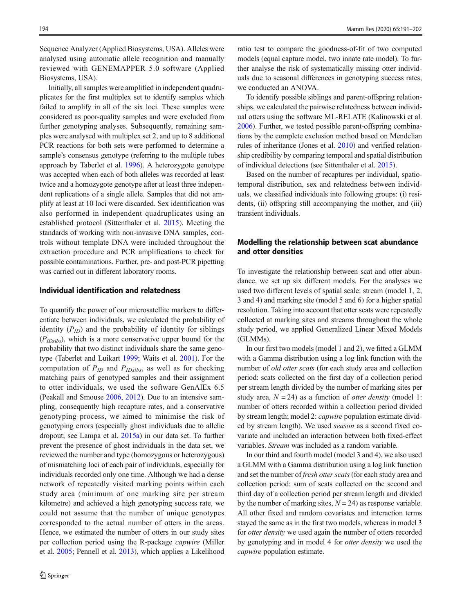Sequence Analyzer (Applied Biosystems, USA). Alleles were analysed using automatic allele recognition and manually reviewed with GENEMAPPER 5.0 software (Applied Biosystems, USA).

Initially, all samples were amplified in independent quadruplicates for the first multiplex set to identify samples which failed to amplify in all of the six loci. These samples were considered as poor-quality samples and were excluded from further genotyping analyses. Subsequently, remaining samples were analysed with multiplex set 2, and up to 8 additional PCR reactions for both sets were performed to determine a sample's consensus genotype (referring to the multiple tubes approach by Taberlet et al. [1996\)](#page-11-0). A heterozygote genotype was accepted when each of both alleles was recorded at least twice and a homozygote genotype after at least three independent replications of a single allele. Samples that did not amplify at least at 10 loci were discarded. Sex identification was also performed in independent quadruplicates using an established protocol (Sittenthaler et al. [2015](#page-11-0)). Meeting the standards of working with non-invasive DNA samples, controls without template DNA were included throughout the extraction procedure and PCR amplifications to check for possible contaminations. Further, pre- and post-PCR pipetting was carried out in different laboratory rooms.

#### Individual identification and relatedness

To quantify the power of our microsatellite markers to differentiate between individuals, we calculated the probability of identity  $(P_{ID})$  and the probability of identity for siblings  $(P<sub>IDsibs</sub>)$ , which is a more conservative upper bound for the probability that two distinct individuals share the same genotype (Taberlet and Luikart [1999;](#page-11-0) Waits et al. [2001](#page-11-0)). For the computation of  $P_{ID}$  and  $P_{IDsibs}$ , as well as for checking matching pairs of genotyped samples and their assignment to otter individuals, we used the software GenAlEx 6.5 (Peakall and Smouse [2006](#page-11-0), [2012](#page-11-0)). Due to an intensive sampling, consequently high recapture rates, and a conservative genotyping process, we aimed to minimise the risk of genotyping errors (especially ghost individuals due to allelic dropout; see Lampa et al. [2015a\)](#page-10-0) in our data set. To further prevent the presence of ghost individuals in the data set, we reviewed the number and type (homozygous or heterozygous) of mismatching loci of each pair of individuals, especially for individuals recorded only one time. Although we had a dense network of repeatedly visited marking points within each study area (minimum of one marking site per stream kilometre) and achieved a high genotyping success rate, we could not assume that the number of unique genotypes corresponded to the actual number of otters in the areas. Hence, we estimated the number of otters in our study sites per collection period using the R-package capwire (Miller et al. [2005](#page-11-0); Pennell et al. [2013](#page-11-0)), which applies a Likelihood

ratio test to compare the goodness-of-fit of two computed models (equal capture model, two innate rate model). To further analyse the risk of systematically missing otter individuals due to seasonal differences in genotyping success rates, we conducted an ANOVA.

To identify possible siblings and parent-offspring relationships, we calculated the pairwise relatedness between individual otters using the software ML-RELATE (Kalinowski et al. [2006\)](#page-10-0). Further, we tested possible parent-offspring combinations by the complete exclusion method based on Mendelian rules of inheritance (Jones et al. [2010](#page-10-0)) and verified relationship credibility by comparing temporal and spatial distribution of individual detections (see Sittenthaler et al. [2015](#page-11-0)).

Based on the number of recaptures per individual, spatiotemporal distribution, sex and relatedness between individuals, we classified individuals into following groups: (i) residents, (ii) offspring still accompanying the mother, and (iii) transient individuals.

# Modelling the relationship between scat abundance and otter densities

To investigate the relationship between scat and otter abundance, we set up six different models. For the analyses we used two different levels of spatial scale: stream (model 1, 2, 3 and 4) and marking site (model 5 and 6) for a higher spatial resolution. Taking into account that otter scats were repeatedly collected at marking sites and streams throughout the whole study period, we applied Generalized Linear Mixed Models (GLMMs).

In our first two models (model 1 and 2), we fitted a GLMM with a Gamma distribution using a log link function with the number of old otter scats (for each study area and collection period: scats collected on the first day of a collection period per stream length divided by the number of marking sites per study area,  $N = 24$ ) as a function of *otter density* (model 1: number of otters recorded within a collection period divided by stream length; model 2: capwire population estimate divided by stream length). We used season as a second fixed covariate and included an interaction between both fixed-effect variables. Stream was included as a random variable.

In our third and fourth model (model 3 and 4), we also used a GLMM with a Gamma distribution using a log link function and set the number of fresh otter scats (for each study area and collection period: sum of scats collected on the second and third day of a collection period per stream length and divided by the number of marking sites,  $N = 24$ ) as response variable. All other fixed and random covariates and interaction terms stayed the same as in the first two models, whereas in model 3 for otter density we used again the number of otters recorded by genotyping and in model 4 for otter density we used the capwire population estimate.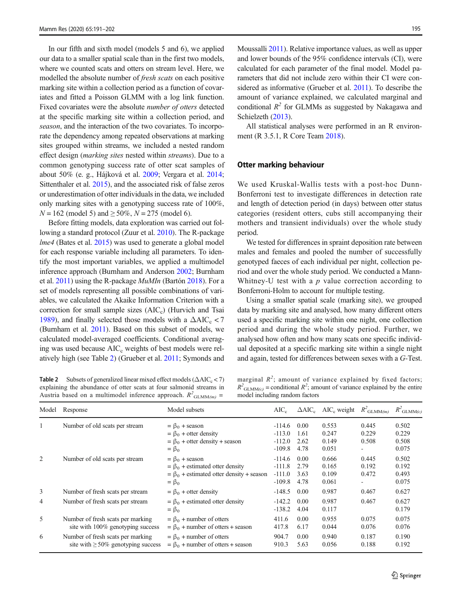<span id="page-4-0"></span>In our fifth and sixth model (models 5 and 6), we applied our data to a smaller spatial scale than in the first two models, where we counted scats and otters on stream level. Here, we modelled the absolute number of fresh scats on each positive marking site within a collection period as a function of covariates and fitted a Poisson GLMM with a log link function. Fixed covariates were the absolute number of otters detected at the specific marking site within a collection period, and season, and the interaction of the two covariates. To incorporate the dependency among repeated observations at marking sites grouped within streams, we included a nested random effect design (marking sites nested within streams). Due to a common genotyping success rate of otter scat samples of about 50% (e. g., Hájková et al. [2009;](#page-10-0) Vergara et al. [2014](#page-11-0); Sittenthaler et al. [2015\)](#page-11-0), and the associated risk of false zeros or underestimation of otter individuals in the data, we included only marking sites with a genotyping success rate of 100%,  $N = 162$  (model 5) and  $\geq 50\%$ ,  $N = 275$  (model 6).

Before fitting models, data exploration was carried out following a standard protocol (Zuur et al. [2010](#page-11-0)). The R-package lme4 (Bates et al. [2015](#page-10-0)) was used to generate a global model for each response variable including all parameters. To identify the most important variables, we applied a multimodel inference approach (Burnham and Anderson [2002](#page-10-0); Burnham et al. [2011](#page-10-0)) using the R-package MuMIn (Bartón [2018](#page-9-0)). For a set of models representing all possible combinations of variables, we calculated the Akaike Information Criterion with a correction for small sample sizes  $(AIC<sub>c</sub>)$  (Hurvich and Tsai [1989\)](#page-10-0), and finally selected those models with a  $\Delta AIC_c < 7$ (Burnham et al. [2011\)](#page-10-0). Based on this subset of models, we calculated model-averaged coefficients. Conditional averaging was used because AIC<sub>c</sub> weights of best models were relatively high (see Table 2) (Grueber et al. [2011;](#page-10-0) Symonds and

Moussalli [2011\)](#page-11-0). Relative importance values, as well as upper and lower bounds of the 95% confidence intervals (CI), were calculated for each parameter of the final model. Model parameters that did not include zero within their CI were considered as informative (Grueber et al. [2011](#page-10-0)). To describe the amount of variance explained, we calculated marginal and conditional  $R^2$  for GLMMs as suggested by Nakagawa and Schielzeth [\(2013\)](#page-11-0).

All statistical analyses were performed in an R environment (R 3.5.1, R Core Team [2018\)](#page-11-0).

#### Otter marking behaviour

We used Kruskal-Wallis tests with a post-hoc Dunn-Bonferroni test to investigate differences in detection rate and length of detection period (in days) between otter status categories (resident otters, cubs still accompanying their mothers and transient individuals) over the whole study period.

We tested for differences in spraint deposition rate between males and females and pooled the number of successfully genotyped faeces of each individual per night, collection period and over the whole study period. We conducted a Mann-Whitney-U test with a  $p$  value correction according to Bonferroni-Holm to account for multiple testing.

Using a smaller spatial scale (marking site), we grouped data by marking site and analysed, how many different otters used a specific marking site within one night, one collection period and during the whole study period. Further, we analysed how often and how many scats one specific individual deposited at a specific marking site within a single night and again, tested for differences between sexes with a G-Test.

**Table 2** Subsets of generalized linear mixed effect models ( $\triangle AIC_c < 7$ ) explaining the abundance of otter scats at four salmonid streams in Austria based on a multimodel inference approach.  $R^2_{\text{GLMM}(m)}$  =

marginal  $R^2$ ; amount of variance explained by fixed factors;  $R^2_{\text{GLMM}(c)}$  = conditional  $R^2$ ; amount of variance explained by the entire model including random factors

| Model | Response                                                                      | Model subsets                                                                                          | $AIC_c$                          |                      | $\triangle AIC_c$ AIC <sub>c</sub> weight $R^2_{\text{GLMM}(m)}$ |                | $R^2_{\text{GLMM}(c)}$  |
|-------|-------------------------------------------------------------------------------|--------------------------------------------------------------------------------------------------------|----------------------------------|----------------------|------------------------------------------------------------------|----------------|-------------------------|
|       | Number of old scats per stream                                                | $= \beta_0$ + season                                                                                   | $-114.6$                         | 0.00                 | 0.553                                                            | 0.445          | 0.502                   |
|       |                                                                               | $= \beta_0$ + otter density<br>$= \beta_0$ + otter density + season                                    | $-113.0$<br>$-112.0$             | 1.61<br>2.62         | 0.247<br>0.149                                                   | 0.229<br>0.508 | 0.229<br>0.508          |
| 2     | Number of old scats per stream                                                | $= \beta_0$<br>$= \beta_0$ + season                                                                    | $-109.8$<br>$-114.6$             | 4.78<br>0.00         | 0.051<br>0.666                                                   | 0.445          | 0.075<br>0.502          |
|       |                                                                               | $= \beta_0$ + estimated otter density<br>$= \beta_0$ + estimated otter density + season<br>$= \beta_0$ | $-111.8$<br>$-111.0$<br>$-109.8$ | 2.79<br>3.63<br>4.78 | 0.165<br>0.109<br>0.061                                          | 0.192<br>0.472 | 0.192<br>0.493<br>0.075 |
| 3     | Number of fresh scats per stream                                              | $= \beta_0$ + otter density                                                                            | $-148.5$                         | 0.00                 | 0.987                                                            | 0.467          | 0.627                   |
| 4     | Number of fresh scats per stream                                              | $= \beta_0$ + estimated otter density<br>$= \beta_0$                                                   | $-142.2$<br>$-138.2$             | 0.00<br>4.04         | 0.987<br>0.117                                                   | 0.467          | 0.627<br>0.179          |
| 5     | Number of fresh scats per marking<br>site with 100% genotyping success        | $= \beta_0$ + number of otters<br>$= \beta_0$ + number of otters + season                              | 411.6<br>417.8                   | 0.00<br>6.17         | 0.955<br>0.044                                                   | 0.075<br>0.076 | 0.075<br>0.076          |
| 6     | Number of fresh scats per marking<br>site with $\geq 50\%$ genotyping success | $= \beta_0$ + number of otters<br>$= \beta_0$ + number of otters + season                              | 904.7<br>910.3                   | 0.00<br>5.63         | 0.940<br>0.056                                                   | 0.187<br>0.188 | 0.190<br>0.192          |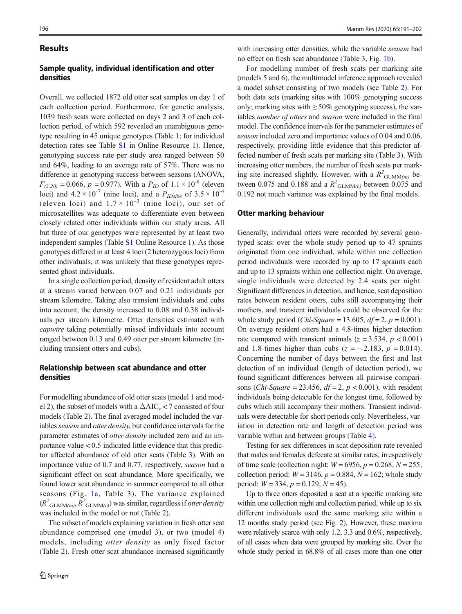#### Results

# Sample quality, individual identification and otter densities

Overall, we collected 1872 old otter scat samples on day 1 of each collection period. Furthermore, for genetic analysis, 1039 fresh scats were collected on days 2 and 3 of each collection period, of which 592 revealed an unambiguous genotype resulting in 45 unique genotypes (Table [1](#page-2-0); for individual detection rates see Table S1 in Online Resource 1). Hence, genotyping success rate per study area ranged between 50 and 64%, leading to an average rate of 57%. There was no difference in genotyping success between seasons (ANOVA,  $F_{(3,20)} = 0.066$ ,  $p = 0.977$ ). With a  $P_{ID}$  of  $1.1 \times 10^{-8}$  (eleven loci) and  $4.2 \times 10^{-7}$  (nine loci), and a  $P_{IDsibs}$  of  $3.5 \times 10^{-4}$ (eleven loci) and  $1.7 \times 10^{-3}$  (nine loci), our set of microsatellites was adequate to differentiate even between closely related otter individuals within our study areas. All but three of our genotypes were represented by at least two independent samples (Table S1 Online Resource 1). As those genotypes differed in at least 4 loci (2 heterozygous loci) from other individuals, it was unlikely that these genotypes represented ghost individuals.

In a single collection period, density of resident adult otters at a stream varied between 0.07 and 0.21 individuals per stream kilometre. Taking also transient individuals and cubs into account, the density increased to 0.08 and 0.38 individuals per stream kilometre. Otter densities estimated with capwire taking potentially missed individuals into account ranged between 0.13 and 0.49 otter per stream kilometre (including transient otters and cubs).

# Relationship between scat abundance and otter densities

For modelling abundance of old otter scats (model 1 and model 2), the subset of models with a  $\Delta AIC_c < 7$  consisted of four models (Table [2](#page-4-0)). The final averaged model included the variables season and otter density, but confidence intervals for the parameter estimates of otter density included zero and an importance value  $< 0.5$  indicated little evidence that this predictor affected abundance of old otter scats (Table [3](#page-6-0)). With an importance value of 0.7 and 0.77, respectively, season had a significant effect on scat abundance. More specifically, we found lower scat abundance in summer compared to all other seasons (Fig. [1a](#page-7-0), Table [3\)](#page-6-0). The variance explained  $(R^{2}_{\text{GLMM}(m)}, R^{2}_{\text{GLMM}(c)})$  was similar, regardless if otter density was included in the model or not (Table [2](#page-4-0)).

The subset of models explaining variation in fresh otter scat abundance comprised one (model 3), or two (model 4) models, including otter density as only fixed factor (Table [2\)](#page-4-0). Fresh otter scat abundance increased significantly

with increasing otter densities, while the variable *season* had no effect on fresh scat abundance (Table [3](#page-6-0), Fig. [1b\)](#page-7-0).

For modelling number of fresh scats per marking site (models 5 and 6), the multimodel inference approach revealed a model subset consisting of two models (see Table [2\)](#page-4-0). For both data sets (marking sites with 100% genotyping success only; marking sites with  $\geq 50\%$  genotyping success), the variables number of otters and season were included in the final model. The confidence intervals for the parameter estimates of season included zero and importance values of 0.04 and 0.06, respectively, providing little evidence that this predictor affected number of fresh scats per marking site (Table [3\)](#page-6-0). With increasing otter numbers, the number of fresh scats per marking site increased slightly. However, with a  $R^2_{\text{GLMM}(m)}$  between 0.075 and 0.188 and a  $R^2$ <sub>GLMM(c</sub>) between 0.075 and 0.192 not much variance was explained by the final models.

#### Otter marking behaviour

Generally, individual otters were recorded by several genotyped scats: over the whole study period up to 47 spraints originated from one individual, while within one collection period individuals were recorded by up to 17 spraints each and up to 13 spraints within one collection night. On average, single individuals were detected by 2.4 scats per night. Significant differences in detection, and hence, scat deposition rates between resident otters, cubs still accompanying their mothers, and transient individuals could be observed for the whole study period (Chi-Square = 13.605,  $df = 2$ ,  $p = 0.001$ ). On average resident otters had a 4.8-times higher detection rate compared with transient animals ( $z = 3.534$ ,  $p < 0.001$ ) and 1.8-times higher than cubs ( $z = -2.183$ ,  $p = 0.014$ ). Concerning the number of days between the first and last detection of an individual (length of detection period), we found significant differences between all pairwise comparisons (Chi-Square = 23.456,  $df = 2$ ,  $p < 0.001$ ), with resident individuals being detectable for the longest time, followed by cubs which still accompany their mothers. Transient individuals were detectable for short periods only. Nevertheless, variation in detection rate and length of detection period was variable within and between groups (Table [4\)](#page-7-0).

Testing for sex differences in scat deposition rate revealed that males and females defecate at similar rates, irrespectively of time scale (collection night:  $W = 6956$ ,  $p = 0.268$ ,  $N = 255$ ; collection period:  $W = 3146$ ,  $p = 0.884$ ,  $N = 162$ ; whole study period:  $W = 334$ ,  $p = 0.129$ ,  $N = 45$ ).

Up to three otters deposited a scat at a specific marking site within one collection night and collection period, while up to six different individuals used the same marking site within a 12 months study period (see Fig. [2\)](#page-8-0). However, these maxima were relatively scarce with only 1.2, 3.3 and 0.6%, respectively, of all cases when data were grouped by marking site. Over the whole study period in 68.8% of all cases more than one otter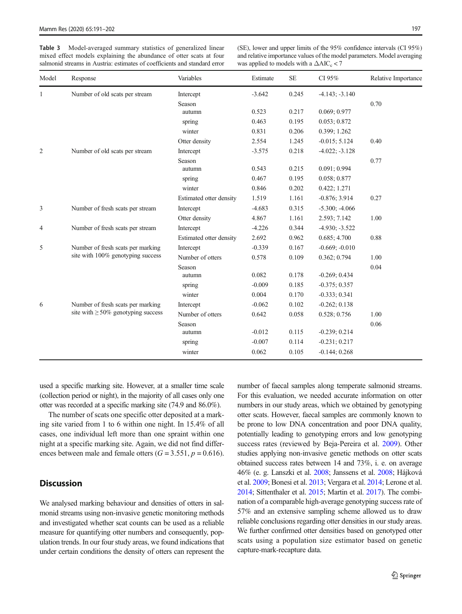<span id="page-6-0"></span>Table 3 Model-averaged summary statistics of generalized linear mixed effect models explaining the abundance of otter scats at four salmonid streams in Austria: estimates of coefficients and standard error

(SE), lower and upper limits of the 95% confidence intervals (CI 95%) and relative importance values of the model parameters. Model averaging was applied to models with a  $\Delta AIC_c < 7$ 

| Model          | Response                                 | Variables               | Estimate | <b>SE</b> | CI 95%           | Relative Importance |
|----------------|------------------------------------------|-------------------------|----------|-----------|------------------|---------------------|
| 1              | Number of old scats per stream           | Intercept               | $-3.642$ | 0.245     | $-4.143; -3.140$ |                     |
|                |                                          | Season                  |          |           |                  | 0.70                |
|                |                                          | autumn                  | 0.523    | 0.217     | 0.069; 0.977     |                     |
|                |                                          | spring                  | 0.463    | 0.195     | 0.053; 0.872     |                     |
|                |                                          | winter                  | 0.831    | 0.206     | 0.399; 1.262     |                     |
|                |                                          | Otter density           | 2.554    | 1.245     | $-0.015; 5.124$  | 0.40                |
| $\overline{2}$ | Number of old scats per stream           | Intercept               | $-3.575$ | 0.218     | $-4.022; -3.128$ |                     |
|                |                                          | Season                  |          |           |                  | 0.77                |
|                |                                          | autumn                  | 0.543    | 0.215     | 0.091; 0.994     |                     |
|                |                                          | spring                  | 0.467    | 0.195     | 0.058; 0.877     |                     |
|                |                                          | winter                  | 0.846    | 0.202     | 0.422; 1.271     |                     |
|                |                                          | Estimated otter density | 1.519    | 1.161     | $-0.876; 3.914$  | 0.27                |
| 3              | Number of fresh scats per stream         | Intercept               | $-4.683$ | 0.315     | $-5.300; -4.066$ |                     |
|                |                                          | Otter density           | 4.867    | 1.161     | 2.593; 7.142     | 1.00                |
| 4              | Number of fresh scats per stream         | Intercept               | $-4.226$ | 0.344     | $-4.930; -3.522$ |                     |
|                |                                          | Estimated otter density | 2.692    | 0.962     | 0.685; 4.700     | 0.88                |
| 5              | Number of fresh scats per marking        | Intercept               | $-0.339$ | 0.167     | $-0.669; -0.010$ |                     |
|                | site with 100% genotyping success        | Number of otters        | 0.578    | 0.109     | 0.362; 0.794     | 1.00                |
|                |                                          | Season                  |          |           |                  | 0.04                |
|                |                                          | autumn                  | 0.082    | 0.178     | $-0.269; 0.434$  |                     |
|                |                                          | spring                  | $-0.009$ | 0.185     | $-0.375; 0.357$  |                     |
|                |                                          | winter                  | 0.004    | 0.170     | $-0.333; 0.341$  |                     |
| 6              | Number of fresh scats per marking        | Intercept               | $-0.062$ | 0.102     | $-0.262; 0.138$  |                     |
|                | site with $\geq 50\%$ genotyping success | Number of otters        | 0.642    | 0.058     | 0.528; 0.756     | 1.00                |
|                |                                          | Season                  |          |           |                  | 0.06                |
|                |                                          | autumn                  | $-0.012$ | 0.115     | $-0.239; 0.214$  |                     |
|                |                                          | spring                  | $-0.007$ | 0.114     | $-0.231; 0.217$  |                     |
|                |                                          | winter                  | 0.062    | 0.105     | $-0.144; 0.268$  |                     |

used a specific marking site. However, at a smaller time scale (collection period or night), in the majority of all cases only one otter was recorded at a specific marking site (74.9 and 86.0%).

The number of scats one specific otter deposited at a marking site varied from 1 to 6 within one night. In 15.4% of all cases, one individual left more than one spraint within one night at a specific marking site. Again, we did not find differences between male and female otters  $(G = 3.551, p = 0.616)$ .

# **Discussion**

We analysed marking behaviour and densities of otters in salmonid streams using non-invasive genetic monitoring methods and investigated whether scat counts can be used as a reliable measure for quantifying otter numbers and consequently, population trends. In our four study areas, we found indications that under certain conditions the density of otters can represent the

number of faecal samples along temperate salmonid streams. For this evaluation, we needed accurate information on otter numbers in our study areas, which we obtained by genotyping otter scats. However, faecal samples are commonly known to be prone to low DNA concentration and poor DNA quality, potentially leading to genotyping errors and low genotyping success rates (reviewed by Beja-Pereira et al. [2009\)](#page-10-0). Other studies applying non-invasive genetic methods on otter scats obtained success rates between 14 and 73%, i. e. on average 46% (e. g. Lanszki et al. [2008;](#page-10-0) Janssens et al. [2008](#page-10-0); Hájková et al. [2009](#page-10-0); Bonesi et al. [2013;](#page-10-0) Vergara et al. [2014;](#page-11-0) Lerone et al. [2014](#page-10-0); Sittenthaler et al. [2015](#page-11-0); Martin et al. [2017](#page-10-0)). The combination of a comparable high-average genotyping success rate of 57% and an extensive sampling scheme allowed us to draw reliable conclusions regarding otter densities in our study areas. We further confirmed otter densities based on genotyped otter scats using a population size estimator based on genetic capture-mark-recapture data.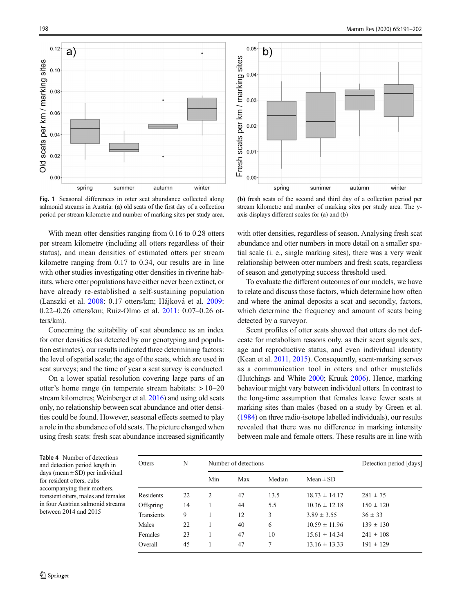<span id="page-7-0"></span>

Fig. 1 Seasonal differences in otter scat abundance collected along salmonid streams in Austria: (a) old scats of the first day of a collection period per stream kilometre and number of marking sites per study area,

With mean otter densities ranging from 0.16 to 0.28 otters per stream kilometre (including all otters regardless of their status), and mean densities of estimated otters per stream kilometre ranging from 0.17 to 0.34, our results are in line with other studies investigating otter densities in riverine habitats, where otter populations have either never been extinct, or have already re-established a self-sustaining population (Lanszki et al. [2008](#page-10-0): 0.17 otters/km; Hájková et al. [2009](#page-10-0): 0.22–0.26 otters/km; Ruiz-Olmo et al. [2011:](#page-11-0) 0.07–0.26 otters/km).

Concerning the suitability of scat abundance as an index for otter densities (as detected by our genotyping and population estimates), our results indicated three determining factors: the level of spatial scale; the age of the scats, which are used in scat surveys; and the time of year a scat survey is conducted.

On a lower spatial resolution covering large parts of an otter's home range (in temperate stream habitats: > 10–20 stream kilometres; Weinberger et al. [2016](#page-11-0)) and using old scats only, no relationship between scat abundance and otter densities could be found. However, seasonal effects seemed to play a role in the abundance of old scats. The picture changed when using fresh scats: fresh scat abundance increased significantly



(b) fresh scats of the second and third day of a collection period per stream kilometre and number of marking sites per study area. The yaxis displays different scales for (a) and (b)

with otter densities, regardless of season. Analysing fresh scat abundance and otter numbers in more detail on a smaller spatial scale (i. e., single marking sites), there was a very weak relationship between otter numbers and fresh scats, regardless of season and genotyping success threshold used.

To evaluate the different outcomes of our models, we have to relate and discuss those factors, which determine how often and where the animal deposits a scat and secondly, factors, which determine the frequency and amount of scats being detected by a surveyor.

Scent profiles of otter scats showed that otters do not defecate for metabolism reasons only, as their scent signals sex, age and reproductive status, and even individual identity (Kean et al. [2011,](#page-10-0) [2015\)](#page-10-0). Consequently, scent-marking serves as a communication tool in otters and other mustelids (Hutchings and White [2000](#page-10-0); Kruuk [2006\)](#page-10-0). Hence, marking behaviour might vary between individual otters. In contrast to the long-time assumption that females leave fewer scats at marking sites than males (based on a study by Green et al. [\(1984\)](#page-10-0) on three radio-isotope labelled individuals), our results revealed that there was no difference in marking intensity between male and female otters. These results are in line with

Table 4 Number of detections and detection period length in days (mean  $\pm$  SD) per individual for resident otters, cubs accompanying their mothers, transient otters, males and females in four Austrian salmonid streams between 2014 and 2015

| Otters     | N  | Number of detections |     |        |                   | Detection period [days] |  |  |
|------------|----|----------------------|-----|--------|-------------------|-------------------------|--|--|
|            |    | Min                  | Max | Median | $Mean \pm SD$     |                         |  |  |
| Residents  | 22 | $\mathcal{L}$        | 47  | 13.5   | $18.73 \pm 14.17$ | $281 \pm 75$            |  |  |
| Offspring  | 14 |                      | 44  | 5.5    | $10.36 \pm 12.18$ | $150 \pm 120$           |  |  |
| Transients | 9  |                      | 12  | 3      | $3.89 \pm 3.55$   | $36 \pm 33$             |  |  |
| Males      | 22 |                      | 40  | 6      | $10.59 \pm 11.96$ | $139 \pm 130$           |  |  |
| Females    | 23 |                      | 47  | 10     | $15.61 \pm 14.34$ | $241 \pm 108$           |  |  |
| Overall    | 45 |                      | 47  | 7      | $13.16 \pm 13.33$ | $191 \pm 129$           |  |  |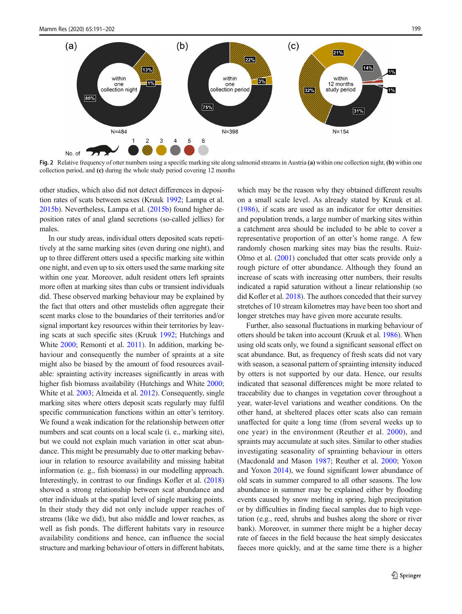<span id="page-8-0"></span>

Fig. 2 Relative frequency of otter numbers using a specific marking site along salmonid streams in Austria (a) within one collection night, (b) within one collection period, and (c) during the whole study period covering 12 months

other studies, which also did not detect differences in deposition rates of scats between sexes (Kruuk [1992;](#page-10-0) Lampa et al. [2015b](#page-10-0)). Nevertheless, Lampa et al. [\(2015b\)](#page-10-0) found higher deposition rates of anal gland secretions (so-called jellies) for males.

In our study areas, individual otters deposited scats repetitively at the same marking sites (even during one night), and up to three different otters used a specific marking site within one night, and even up to six otters used the same marking site within one year. Moreover, adult resident otters left spraints more often at marking sites than cubs or transient individuals did. These observed marking behaviour may be explained by the fact that otters and other mustelids often aggregate their scent marks close to the boundaries of their territories and/or signal important key resources within their territories by leaving scats at such specific sites (Kruuk [1992;](#page-10-0) Hutchings and White [2000;](#page-10-0) Remonti et al. [2011](#page-11-0)). In addition, marking behaviour and consequently the number of spraints at a site might also be biased by the amount of food resources available: sprainting activity increases significantly in areas with higher fish biomass availability (Hutchings and White [2000](#page-10-0); White et al. [2003](#page-11-0); Almeida et al. [2012](#page-9-0)). Consequently, single marking sites where otters deposit scats regularly may fulfil specific communication functions within an otter's territory. We found a weak indication for the relationship between otter numbers and scat counts on a local scale (i. e., marking site), but we could not explain much variation in otter scat abundance. This might be presumably due to otter marking behaviour in relation to resource availability and missing habitat information (e. g., fish biomass) in our modelling approach. Interestingly, in contrast to our findings Kofler et al. [\(2018\)](#page-10-0) showed a strong relationship between scat abundance and otter individuals at the spatial level of single marking points. In their study they did not only include upper reaches of streams (like we did), but also middle and lower reaches, as well as fish ponds. The different habitats vary in resource availability conditions and hence, can influence the social structure and marking behaviour of otters in different habitats,

which may be the reason why they obtained different results on a small scale level. As already stated by Kruuk et al. [\(1986](#page-10-0)), if scats are used as an indicator for otter densities and population trends, a large number of marking sites within a catchment area should be included to be able to cover a representative proportion of an otter's home range. A few randomly chosen marking sites may bias the results. Ruiz-Olmo et al. [\(2001\)](#page-11-0) concluded that otter scats provide only a rough picture of otter abundance. Although they found an increase of scats with increasing otter numbers, their results indicated a rapid saturation without a linear relationship (so did Kofler et al. [2018\)](#page-10-0). The authors conceded that their survey stretches of 10 stream kilometres may have been too short and longer stretches may have given more accurate results.

Further, also seasonal fluctuations in marking behaviour of otters should be taken into account (Kruuk et al. [1986](#page-10-0)). When using old scats only, we found a significant seasonal effect on scat abundance. But, as frequency of fresh scats did not vary with season, a seasonal pattern of sprainting intensity induced by otters is not supported by our data. Hence, our results indicated that seasonal differences might be more related to traceability due to changes in vegetation cover throughout a year, water-level variations and weather conditions. On the other hand, at sheltered places otter scats also can remain unaffected for quite a long time (from several weeks up to one year) in the environment (Reuther et al. [2000\)](#page-11-0), and spraints may accumulate at such sites. Similar to other studies investigating seasonality of sprainting behaviour in otters (Macdonald and Mason [1987](#page-10-0); Reuther et al. [2000;](#page-11-0) Yoxon and Yoxon [2014](#page-11-0)), we found significant lower abundance of old scats in summer compared to all other seasons. The low abundance in summer may be explained either by flooding events caused by snow melting in spring, high precipitation or by difficulties in finding faecal samples due to high vegetation (e.g., reed, shrubs and bushes along the shore or river bank). Moreover, in summer there might be a higher decay rate of faeces in the field because the heat simply desiccates faeces more quickly, and at the same time there is a higher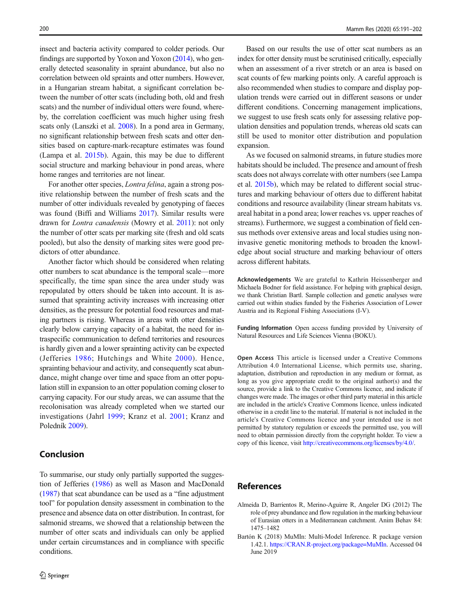<span id="page-9-0"></span>insect and bacteria activity compared to colder periods. Our findings are supported by Yoxon and Yoxon ([2014](#page-11-0)), who generally detected seasonality in spraint abundance, but also no correlation between old spraints and otter numbers. However, in a Hungarian stream habitat, a significant correlation between the number of otter scats (including both, old and fresh scats) and the number of individual otters were found, whereby, the correlation coefficient was much higher using fresh scats only (Lanszki et al. [2008\)](#page-10-0). In a pond area in Germany, no significant relationship between fresh scats and otter densities based on capture-mark-recapture estimates was found (Lampa et al. [2015b](#page-10-0)). Again, this may be due to different social structure and marking behaviour in pond areas, where home ranges and territories are not linear.

For another otter species, *Lontra felina*, again a strong positive relationship between the number of fresh scats and the number of otter individuals revealed by genotyping of faeces was found (Biffi and Williams [2017](#page-10-0)). Similar results were drawn for Lontra canadensis (Mowry et al. [2011\)](#page-11-0): not only the number of otter scats per marking site (fresh and old scats pooled), but also the density of marking sites were good predictors of otter abundance.

Another factor which should be considered when relating otter numbers to scat abundance is the temporal scale—more specifically, the time span since the area under study was repopulated by otters should be taken into account. It is assumed that sprainting activity increases with increasing otter densities, as the pressure for potential food resources and mating partners is rising. Whereas in areas with otter densities clearly below carrying capacity of a habitat, the need for intraspecific communication to defend territories and resources is hardly given and a lower sprainting activity can be expected (Jefferies [1986](#page-10-0); Hutchings and White [2000\)](#page-10-0). Hence, sprainting behaviour and activity, and consequently scat abundance, might change over time and space from an otter population still in expansion to an otter population coming closer to carrying capacity. For our study areas, we can assume that the recolonisation was already completed when we started our investigations (Jahrl [1999;](#page-10-0) Kranz et al. [2001](#page-10-0); Kranz and Poledník [2009\)](#page-10-0).

# Conclusion

To summarise, our study only partially supported the suggestion of Jefferies [\(1986\)](#page-10-0) as well as Mason and MacDonald [\(1987\)](#page-11-0) that scat abundance can be used as a "fine adjustment tool" for population density assessment in combination to the presence and absence data on otter distribution. In contrast, for salmonid streams, we showed that a relationship between the number of otter scats and individuals can only be applied under certain circumstances and in compliance with specific conditions.

Based on our results the use of otter scat numbers as an index for otter density must be scrutinised critically, especially when an assessment of a river stretch or an area is based on scat counts of few marking points only. A careful approach is also recommended when studies to compare and display population trends were carried out in different seasons or under different conditions. Concerning management implications, we suggest to use fresh scats only for assessing relative population densities and population trends, whereas old scats can still be used to monitor otter distribution and population expansion.

As we focused on salmonid streams, in future studies more habitats should be included. The presence and amount of fresh scats does not always correlate with otter numbers (see Lampa et al. [2015b](#page-10-0)), which may be related to different social structures and marking behaviour of otters due to different habitat conditions and resource availability (linear stream habitats vs. areal habitat in a pond area; lower reaches vs. upper reaches of streams). Furthermore, we suggest a combination of field census methods over extensive areas and local studies using noninvasive genetic monitoring methods to broaden the knowledge about social structure and marking behaviour of otters across different habitats.

Acknowledgements We are grateful to Kathrin Heissenberger and Michaela Bodner for field assistance. For helping with graphical design, we thank Christian Bartl. Sample collection and genetic analyses were carried out within studies funded by the Fisheries Association of Lower Austria and its Regional Fishing Associations (I-V).

Funding Information Open access funding provided by University of Natural Resources and Life Sciences Vienna (BOKU).

Open Access This article is licensed under a Creative Commons Attribution 4.0 International License, which permits use, sharing, adaptation, distribution and reproduction in any medium or format, as long as you give appropriate credit to the original author(s) and the source, provide a link to the Creative Commons licence, and indicate if changes were made. The images or other third party material in this article are included in the article's Creative Commons licence, unless indicated otherwise in a credit line to the material. If material is not included in the article's Creative Commons licence and your intended use is not permitted by statutory regulation or exceeds the permitted use, you will need to obtain permission directly from the copyright holder. To view a copy of this licence, visit [http://creativecommons.org/licenses/by/4.0/.](http://creativecommons.org/licenses/by/4.0/)

## References

- Almeida D, Barrientos R, Merino-Aguirre R, Angeler DG (2012) The role of prey abundance and flow regulation in the marking behaviour of Eurasian otters in a Mediterranean catchment. Anim Behav 84: 1475–1482
- Bartón K (2018) MuMIn: Multi-Model Inference. R package version 1.42.1. [https://CRAN.R-project.org/package=MuMIn](https://cran.r-project.org/package=MuMIn). Accessed 04 June 2019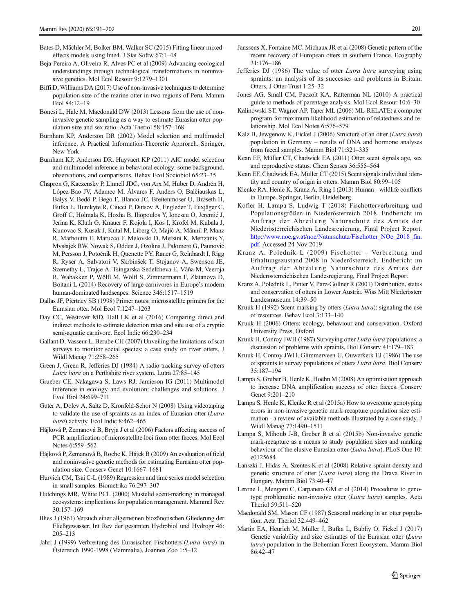- <span id="page-10-0"></span>Bates D, Mächler M, Bolker BM, Walker SC (2015) Fitting linear mixedeffects models using lme4. J Stat Softw 67:1–48
- Beja-Pereira A, Oliveira R, Alves PC et al (2009) Advancing ecological understandings through technological transformations in noninvasive genetics. Mol Ecol Resour 9:1279–1301
- Biffi D, Williams DA (2017) Use of non-invasive techniques to determine population size of the marine otter in two regions of Peru. Mamm Biol 84:12–19
- Bonesi L, Hale M, Macdonald DW (2013) Lessons from the use of noninvasive genetic sampling as a way to estimate Eurasian otter population size and sex ratio. Acta Theriol 58:157–168
- Burnham KP, Anderson DR (2002) Model selection and multimodel inference. A Practical Information-Theoretic Approach. Springer, New York
- Burnham KP, Anderson DR, Huyvaert KP (2011) AIC model selection and multimodel inference in behavioral ecology: some background, observations, and comparisons. Behav Ecol Sociobiol 65:23–35
- Chapron G, Kaczensky P, Linnell JDC, von Arx M, Huber D, Andrén H, López-Bao JV, Adamec M, Álvares F, Anders O, Balčiauskas L, Balys V, Bedő P, Bego F, Blanco JC, Breitenmoser U, Brøseth H, Bufka L, Bunikyte R, Ciucci P, Dutsov A, Engleder T, Fuxjäger C, Groff C, Holmala K, Hoxha B, Iliopoulos Y, Ionescu O, Jeremić J, Jerina K, Kluth G, Knauer F, Kojola I, Kos I, Krofel M, Kubala J, Kunovac S, Kusak J, Kutal M, Liberg O, Majić A, Männil P, Manz R, Marboutin E, Marucco F, Melovski D, Mersini K, Mertzanis Y, Mysłajek RW, Nowak S, Odden J, Ozolins J, Palomero G, Paunović M, Persson J, Potočnik H, Quenette PY, Rauer G, Reinhardt I, Rigg R, Ryser A, Salvatori V, Skrbinšek T, Stojanov A, Swenson JE, Szemethy L, Trajçe A, Tsingarska-Sedefcheva E, Váňa M, Veeroja R, Wabakken P, Wölfl M, Wölfl S, Zimmermann F, Zlatanova D, Boitani L (2014) Recovery of large carnivores in Europe's modern human-dominated landscapes. Science 346:1517–1519
- Dallas JF, Piertney SB (1998) Primer notes: microsatellite primers for the Eurasian otter. Mol Ecol 7:1247–1263
- Day CC, Westover MD, Hall LK et al (2016) Comparing direct and indirect methods to estimate detection rates and site use of a cryptic semi-aquatic carnivore. Ecol Indic 66:230–234
- Gallant D, Vasseur L, Berube CH (2007) Unveiling the limitations of scat surveys to monitor social species: a case study on river otters. J Wildl Manag 71:258–265
- Green J, Green R, Jefferies DJ (1984) A radio-tracking survey of otters Lutra lutra on a Perthshire river system. Lutra 27:85–145
- Grueber CE, Nakagawa S, Laws RJ, Jamieson IG (2011) Multimodel inference in ecology and evolution: challenges and solutions. J Evol Biol 24:699–711
- Guter A, Dolev A, Saltz D, Kronfeld-Schor N (2008) Using videotaping to validate the use of spraints as an index of Eurasian otter (Lutra lutra) activity. Ecol Indic 8:462–465
- Hájková P, Zemanová B, Bryja J et al (2006) Factors affecting success of PCR amplification of microsatellite loci from otter faeces. Mol Ecol Notes 6:559–562
- Hájková P, Zemanová B, Roche K, Hájek B (2009) An evaluation of field and noninvasive genetic methods for estimating Eurasian otter population size. Conserv Genet 10:1667–1681
- Hurvich CM, Tsai C-L (1989) Regression and time series model selection in small samples. Biometrika 76:297–307
- Hutchings MR, White PCL (2000) Mustelid scent-marking in managed ecosystems: implications for population management. Mammal Rev 30:157–169
- Illies J (1961) Versuch einer allgemeinen biozönotischen Gliederung der Fließgewässer. Int Rev der gesamten Hydrobiol und Hydrogr 46: 205–213
- Jahrl J (1999) Verbreitung des Eurasischen Fischotters (Lutra lutra) in Österreich 1990-1998 (Mammalia). Joannea Zoo 1:5–12
- Janssens X, Fontaine MC, Michaux JR et al (2008) Genetic pattern of the recent recovery of European otters in southern France. Ecography 31:176–186
- Jefferies DJ (1986) The value of otter Lutra lutra surveying using spraints: an analysis of its successes and problems in Britain. Otters, J Otter Trust 1:25–32
- Jones AG, Small CM, Paczolt KA, Ratterman NL (2010) A practical guide to methods of parentage analysis. Mol Ecol Resour 10:6–30
- Kalinowski ST, Wagner AP, Taper ML (2006) ML-RELATE: a computer program for maximum likelihood estimation of relatedness and relationship. Mol Ecol Notes 6:576–579
- Kalz B, Jewgenow K, Fickel J (2006) Structure of an otter (Lutra lutra) population in Germany – results of DNA and hormone analyses from faecal samples. Mamm Biol 71:321–335
- Kean EF, Müller CT, Chadwick EA (2011) Otter scent signals age, sex and reproductive status. Chem Senses 36:555–564
- Kean EF, Chadwick EA, Müller CT (2015) Scent signals individual identity and country of origin in otters. Mamm Biol 80:99–105
- Klenke RA, Henle K, Kranz A, Ring I (2013) Human wildlife conflicts in Europe. Springer, Berlin, Heidelberg
- Kofler H, Lampa S, Ludwig T (2018) Fischotterverbreitung und Populationsgrößen in Niederösterreich 2018. Endbericht im Auftrag der Abteilung Naturschutz des Amtes der Niederösterreichischen Landesregierung, Final Project Report. [http://www.noe.gv.at/noe/Naturschutz/Fischotter\\_NOe\\_2018\\_fin.](http://www.noe.gv.at/noe/Naturschutz/Fischotter_NOe_2018_fin.pdf) [pdf.](http://www.noe.gv.at/noe/Naturschutz/Fischotter_NOe_2018_fin.pdf) Accessed 24 Nov 2019
- Kranz A, Poledník L (2009) Fischotter Verbreitung und Erhaltungszustand 2008 in Niederösterreich. Endbericht im Auftrag der Abteilung Naturschutz des Amtes der Niederösterreichischen Landesregierung, Final Project Report
- Kranz A, Poledník L, Pinter V, Parz-Gollner R (2001) Distribution, status and conservation of otters in Lower Austria. Wiss Mitt Niederösterr Landesmuseum 14:39–50
- Kruuk H (1992) Scent marking by otters (Lutra lutra): signaling the use of resources. Behav Ecol 3:133–140
- Kruuk H (2006) Otters: ecology, behaviour and conservation. Oxford University Press, Oxford
- Kruuk H, Conroy JWH (1987) Surveying otter Lutra lutra populations: a discussion of problems with spraints. Biol Conserv 41:179–183
- Kruuk H, Conroy JWH, Glimmerveen U, Ouwerkerk EJ (1986) The use of spraints to survey populations of otters Lutra lutra. Biol Conserv 35:187–194
- Lampa S, Gruber B, Henle K, Hoehn M (2008) An optimisation approach to increase DNA amplification success of otter faeces. Conserv Genet 9:201–210
- Lampa S, Henle K, Klenke R et al (2015a) How to overcome genotyping errors in non-invasive genetic mark-recapture population size estimation - a review of available methods illustrated by a case study. J Wildl Manag 77:1490–1511
- Lampa S, Mihoub J-B, Gruber B et al (2015b) Non-invasive genetic mark-recapture as a means to study population sizes and marking behaviour of the elusive Eurasian otter (Lutra lutra). PLoS One 10: e0125684
- Lanszki J, Hidas A, Szentes K et al (2008) Relative spraint density and genetic structure of otter (Lutra lutra) along the Drava River in Hungary. Mamm Biol 73:40–47
- Lerone L, Mengoni C, Carpaneto GM et al (2014) Procedures to genotype problematic non-invasive otter (Lutra lutra) samples. Acta Theriol 59:511–520
- Macdonald SM, Mason CF (1987) Seasonal marking in an otter population. Acta Theriol 32:449–462
- Martin EA, Heurich M, Müller J, Bufka L, Bubliy O, Fickel J (2017) Genetic variability and size estimates of the Eurasian otter (Lutra lutra) population in the Bohemian Forest Ecosystem. Mamm Biol 86:42–47